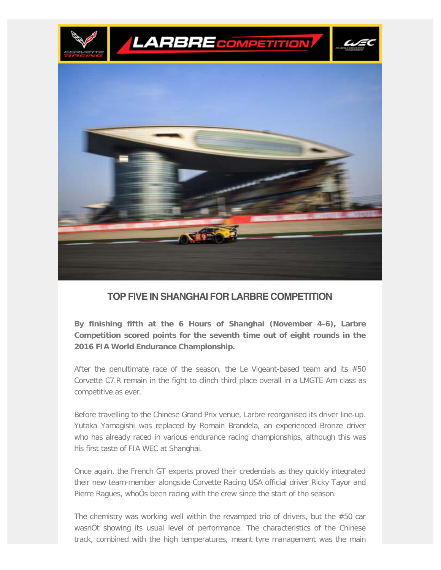

## **TOP FIVE IN SHANGHAI FOR LARBRE COMPETITION**

**By finishing fifth at the 6 Hours of Shanghai (November 4-6), Larbre Competition scored points for the seventh time out of eight rounds in the 2016 FIA World Endurance Championship.**

After the penultimate race of the season, the Le Vigeant-based team and its #50 Corvette C7.R remain in the fight to clinch third place overall in a LMGTE Am class as competitive as ever.

Before travelling to the Chinese Grand Prix venue, Larbre reorganised its driver line-up. Yutaka Yamagishi was replaced by Romain Brandela, an experienced Bronze driver who has already raced in various endurance racing championships, although this was his first taste of FIA WEC at Shanghai.

Once again, the French GT experts proved their credentials as they quickly integrated their new team-member alongside Corvette Racing USA official driver Ricky Tayor and Pierre Ragues, whoÕs been racing with the crew since the start of the season.

The chemistry was working well within the revamped trio of drivers, but the #50 car wasnÕt showing its usual level of performance. The characteristics of the Chinese track, combined with the high temperatures, meant tyre management was the main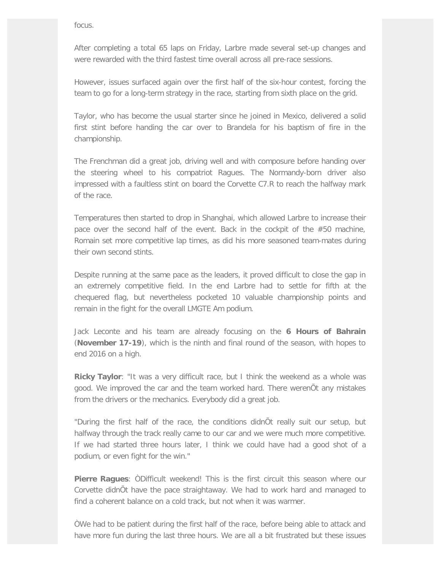focus.

After completing a total 65 laps on Friday, Larbre made several set-up changes and were rewarded with the third fastest time overall across all pre-race sessions.

However, issues surfaced again over the first half of the six-hour contest, forcing the team to go for a long-term strategy in the race, starting from sixth place on the grid.

Taylor, who has become the usual starter since he joined in Mexico, delivered a solid first stint before handing the car over to Brandela for his baptism of fire in the championship.

The Frenchman did a great job, driving well and with composure before handing over the steering wheel to his compatriot Ragues. The Normandy-born driver also impressed with a faultless stint on board the Corvette C7.R to reach the halfway mark of the race.

Temperatures then started to drop in Shanghai, which allowed Larbre to increase their pace over the second half of the event. Back in the cockpit of the #50 machine, Romain set more competitive lap times, as did his more seasoned team-mates during their own second stints.

Despite running at the same pace as the leaders, it proved difficult to close the gap in an extremely competitive field. In the end Larbre had to settle for fifth at the chequered flag, but nevertheless pocketed 10 valuable championship points and remain in the fight for the overall LMGTE Am podium.

Jack Leconte and his team are already focusing on the **6 Hours of Bahrain** (**November 17-19**), which is the ninth and final round of the season, with hopes to end 2016 on a high.

**Ricky Taylor**: "It was a very difficult race, but I think the weekend as a whole was good. We improved the car and the team worked hard. There werenÕt any mistakes from the drivers or the mechanics. Everybody did a great job.

"During the first half of the race, the conditions didnÕt really suit our setup, but halfway through the track really came to our car and we were much more competitive. If we had started three hours later, I think we could have had a good shot of a podium, or even fight for the win."

**Pierre Ragues**: ÒDifficult weekend! This is the first circuit this season where our Corvette didnÕt have the pace straightaway. We had to work hard and managed to find a coherent balance on a cold track, but not when it was warmer.

ÒWe had to be patient during the first half of the race, before being able to attack and have more fun during the last three hours. We are all a bit frustrated but these issues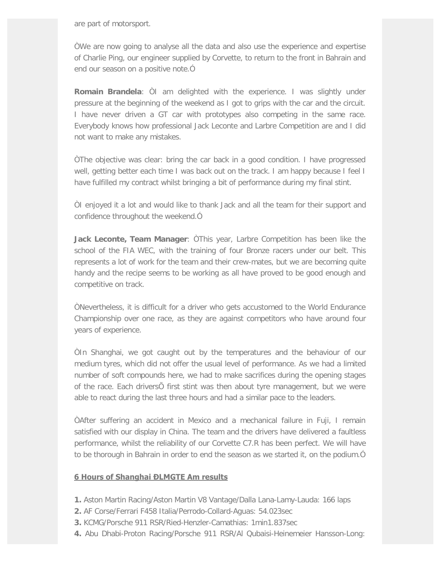are part of motorsport.

ÒWe are now going to analyse all the data and also use the experience and expertise of Charlie Ping, our engineer supplied by Corvette, to return to the front in Bahrain and end our season on a positive note.Ó

**Romain Brandela**: ÒI am delighted with the experience. I was slightly under pressure at the beginning of the weekend as I got to grips with the car and the circuit. I have never driven a GT car with prototypes also competing in the same race. Everybody knows how professional Jack Leconte and Larbre Competition are and I did not want to make any mistakes.

ÒThe objective was clear: bring the car back in a good condition. I have progressed well, getting better each time I was back out on the track. I am happy because I feel I have fulfilled my contract whilst bringing a bit of performance during my final stint.

ÒI enjoyed it a lot and would like to thank Jack and all the team for their support and confidence throughout the weekend.Ó

**Jack Leconte, Team Manager**: ÒThis year, Larbre Competition has been like the school of the FIA WEC, with the training of four Bronze racers under our belt. This represents a lot of work for the team and their crew-mates, but we are becoming quite handy and the recipe seems to be working as all have proved to be good enough and competitive on track.

ÒNevertheless, it is difficult for a driver who gets accustomed to the World Endurance Championship over one race, as they are against competitors who have around four years of experience.

ÒIn Shanghai, we got caught out by the temperatures and the behaviour of our medium tyres, which did not offer the usual level of performance. As we had a limited number of soft compounds here, we had to make sacrifices during the opening stages of the race. Each driversÕ first stint was then about tyre management, but we were able to react during the last three hours and had a similar pace to the leaders.

ÒAfter suffering an accident in Mexico and a mechanical failure in Fuji, I remain satisfied with our display in China. The team and the drivers have delivered a faultless performance, whilst the reliability of our Corvette C7.R has been perfect. We will have to be thorough in Bahrain in order to end the season as we started it, on the podium.Ó

## **6 Hours of Shanghai ĐLMGTE Am results**

- **1.** Aston Martin Racing/Aston Martin V8 Vantage/Dalla Lana-Lamy-Lauda: 166 laps
- **2.** AF Corse/Ferrari F458 Italia/Perrodo-Collard-Aguas: 54.023sec
- **3.** KCMG/Porsche 911 RSR/Ried-Henzler-Camathias: 1min1.837sec
- **4.** Abu Dhabi-Proton Racing/Porsche 911 RSR/Al Qubaisi-Heinemeier Hansson-Long: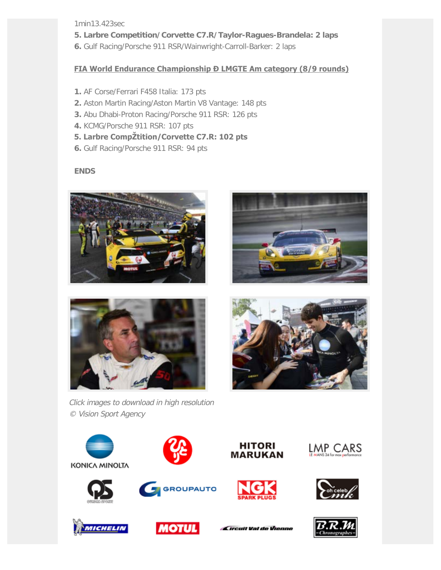1min13.423sec

- **5. Larbre Competition/Corvette C7.R/Taylor-Ragues-Brandela: 2 laps**
- **6.** Gulf Racing/Porsche 911 RSR/Wainwright-Carroll-Barker: 2 laps

## **FIA World Endurance Championship Đ LMGTE Am category (8/9 rounds)**

- **1.** AF Corse/Ferrari F458 Italia: 173 pts
- **2.** Aston Martin Racing/Aston Martin V8 Vantage: 148 pts
- **3.** Abu Dhabi-Proton Racing/Porsche 911 RSR: 126 pts
- **4.** KCMG/Porsche 911 RSR: 107 pts
- **5. Larbre Compétition/Corvette C7.R: 102 pts**
- **6.** Gulf Racing/Porsche 911 RSR: 94 pts

## **ENDS**







Click images to download in high resolution

© Vision Sport Agency